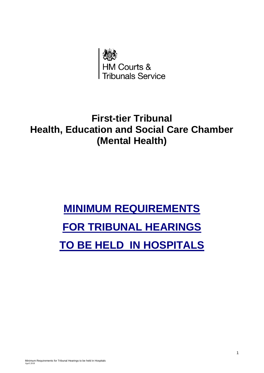

## **First-tier Tribunal Health, Education and Social Care Chamber (Mental Health)**

# **MINIMUM REQUIREMENTS FOR TRIBUNAL HEARINGS TO BE HELD IN HOSPITALS**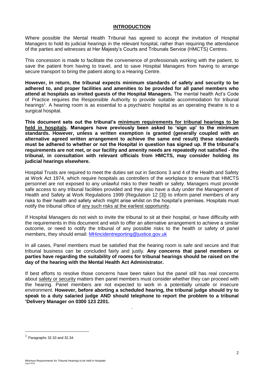### **INTRODUCTION**

Where possible the Mental Health Tribunal has agreed to accept the invitation of Hospital Managers to hold its judicial hearings in the relevant hospital, rather than requiring the attendance of the parties and witnesses at Her Majesty's Courts and Tribunals Service (HMCTS) Centres.

This concession is made to facilitate the convenience of professionals working with the patient, to save the patient from having to travel, and to save Hospital Managers from having to arrange secure transport to bring the patient along to a Hearing Centre.

**However, in return, the tribunal expects minimum standards of safety and security to be adhered to, and proper facilities and amenities to be provided for all panel members who attend at hospitals as invited guests of the Hospital Managers.** The mental health Act's Code of Practice requires the Responsible Authority to provide suitable accommodation for tribunal hearings<sup>1</sup>. A hearing room is as essential to a psychiatric hospital as an operating theatre is to a surgical hospital.

**This document sets out the tribunal's minimum requirements for tribunal hearings to be held in hospitals. Managers have previously been asked to 'sign up' to the minimum standards. However, unless a written exemption is granted (generally coupled with an alternative agreed written arrangement to achieve the same end result) these standards must be adhered to whether or not the Hospital in question has signed up. If the tribunal's requirements are not met, or our facility and amenity needs are repeatedly not satisfied - the tribunal, in consultation with relevant officials from HMCTS, may consider holding its judicial hearings elsewhere.**

Hospital Trusts are required to meet the duties set out in Sections 3 and 4 of the Health and Safety at Work Act 1974, which require hospitals as controllers of the workplace to ensure that HMCTS personnel are not exposed to any unlawful risks to their health or safety. Managers must provide safe access to any tribunal facilities provided and they also have a duty under the Management of Health and Safety at Work Regulations 1999 (Regulation 12 [3]) to inform panel members of any risks to their health and safety which might arise whilst on the hospital's premises. Hospitals must notify the tribunal office of any such risks at the earliest opportunity.

If Hospital Managers do not wish to invite the tribunal to sit at their hospital, or have difficulty with the requirements in this document and wish to offer an alternative arrangement to achieve a similar outcome, or need to notify the tribunal of any possible risks to the health or safety of panel members, they should email: [MHincidentreporting@justice.gov.uk](mailto:MHincidentreporting@justice.gov.uk)

In all cases, Panel members must be satisfied that the hearing room is safe and secure and that tribunal business can be concluded fairly and justly*.* **Any concerns that panel members or parties have regarding the suitability of rooms for tribunal hearings should be raised on the day of the hearing with the Mental Health Act Administrator.**

If best efforts to resolve those concerns have been taken but the panel still has real concerns about safety or security matters then panel members must consider whether they can proceed with the hearing. Panel members are not expected to work in a potentially unsafe or insecure environment. **However, before aborting a scheduled hearing, the tribunal judge should try to speak to a duty salaried judge AND should telephone to report the problem to a tribunal 'Delivery Manager on 0300 123 2201.**

.

1

 $<sup>1</sup>$  Paragraphs 32.33 and 32.34.</sup>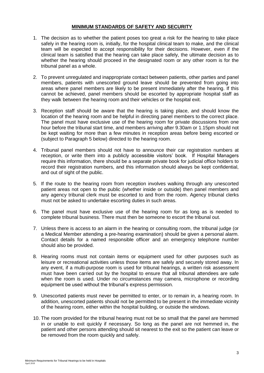### **MINIMUM STANDARDS OF SAFETY AND SECURITY**

- 1. The decision as to whether the patient poses too great a risk for the hearing to take place safely in the hearing room is, initially, for the hospital clinical team to make, and the clinical team will be expected to accept responsibility for their decisions. However, even if the clinical team is satisfied that the hearing can take place safely, the ultimate decision as to whether the hearing should proceed in the designated room or any other room is for the tribunal panel as a whole.
- 2. To prevent unregulated and inappropriate contact between patients, other parties and panel members, patients with unescorted ground leave should be prevented from going into areas where panel members are likely to be present immediately after the hearing. If this cannot be achieved, panel members should be escorted by appropriate hospital staff as they walk between the hearing room and their vehicles or the hospital exit.
- 3. Reception staff should be aware that the hearing is taking place, and should know the location of the hearing room and be helpful in directing panel members to the correct place. The panel must have exclusive use of the hearing room for private discussions from one hour before the tribunal start time, and members arriving after 9.30am or 1.15pm should not be kept waiting for more than a few minutes in reception areas before being escorted or (subject to Paragraph 5 below) directed to the hearing room.
- 4. Tribunal panel members should not have to announce their car registration numbers at reception, or write them into a publicly accessible visitors' book. If Hospital Managers require this information, there should be a separate private book for judicial office holders to record their registration numbers, and this information should always be kept confidential, and out of sight of the public.
- 5. If the route to the hearing room from reception involves walking through any unescorted patient areas not open to the public (whether inside or outside) then panel members and any agency tribunal clerk must be escorted to and from the room. Agency tribunal clerks must not be asked to undertake escorting duties in such areas.
- 6. The panel must have exclusive use of the hearing room for as long as is needed to complete tribunal business. There must then be someone to escort the tribunal out.
- 7. Unless there is access to an alarm in the hearing or consulting room, the tribunal judge (or a Medical Member attending a pre-hearing examination) should be given a personal alarm. Contact details for a named responsible officer and an emergency telephone number should also be provided.
- 8. Hearing rooms must not contain items or equipment used for other purposes such as leisure or recreational activities unless those items are safely and securely stored away. In any event, if a multi-purpose room is used for tribunal hearings, a written risk assessment must have been carried out by the hospital to ensure that all tribunal attendees are safe when the room is used. Under no circumstances may camera, microphone or recording equipment be used without the tribunal's express permission.
- 9. Unescorted patients must never be permitted to enter, or to remain in, a hearing room. In addition, unescorted patients should not be permitted to be present in the immediate vicinity of the hearing room, either within the hospital building, or outside the windows.
- 10. The room provided for the tribunal hearing must not be so small that the panel are hemmed in or unable to exit quickly if necessary. So long as the panel are not hemmed in, the patient and other persons attending should sit nearest to the exit so the patient can leave or be removed from the room quickly and safely.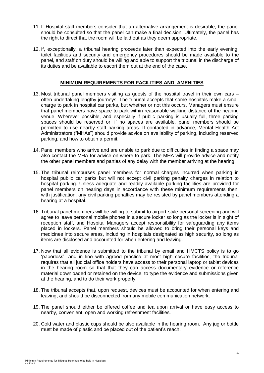- 11. If Hospital staff members consider that an alternative arrangement is desirable, the panel should be consulted so that the panel can make a final decision. Ultimately, the panel has the right to direct that the room will be laid out as they deem appropriate.
- 12. If, exceptionally, a tribunal hearing proceeds later than expected into the early evening, toilet facilities and security and emergency procedures should be made available to the panel, and staff on duty should be willing and able to support the tribunal in the discharge of its duties and be available to escort them out at the end of the case.

#### **MINIMUM REQUIREMENTS FOR FACILITIES AND AMENITIES**

- 13. Most tribunal panel members visiting as guests of the hospital travel in their own cars often undertaking lengthy journeys. The tribunal accepts that some hospitals make a small charge to park in hospital car parks, but whether or not this occurs, Managers must ensure that panel members have space to park within reasonable walking distance of the hearing venue. Wherever possible, and especially if public parking is usually full, three parking spaces should be reserved or, if no spaces are available, panel members should be permitted to use nearby staff parking areas. If contacted in advance, Mental Health Act Administrators ("MHAs") should provide advice on availability of parking, including reserved parking, and how to obtain a permit.
- 14. Panel members who arrive and are unable to park due to difficulties in finding a space may also contact the MHA for advice on where to park. The MHA will provide advice and notify the other panel members and parties of any delay with the member arriving at the hearing.
- 15. The tribunal reimburses panel members for normal charges incurred when parking in hospital public car parks but will not accept civil parking penalty charges in relation to hospital parking. Unless adequate and readily available parking facilities are provided for panel members on hearing days in accordance with these minimum requirements then, with justification, any civil parking penalties may be resisted by panel members attending a hearing at a hospital.
- 16. Tribunal panel members will be willing to submit to airport-style personal screening and will agree to leave personal mobile phones in a secure locker so long as the locker is in sight of reception staff, and Hospital Managers accept responsibility for safeguarding any items placed in lockers. Panel members should be allowed to bring their personal keys and medicines into secure areas, including in hospitals designated as high security, so long as items are disclosed and accounted for when entering and leaving.
- 17. Now that all evidence is submitted to the tribunal by email and HMCTS policy is to go 'paperless', and in line with agreed practice at most high secure facilities, the tribunal requires that all judicial office holders have access to their personal laptop or tablet devices in the hearing room so that that they can access documentary evidence or reference material downloaded or retained on the device, to type the evidence and submissions given at the hearing, and to do their work properly.
- 18. The tribunal accepts that, upon request, devices must be accounted for when entering and leaving, and should be disconnected from any mobile communication network.
- 19. The panel should either be offered coffee and tea upon arrival or have easy access to nearby, convenient, open and working refreshment facilities.
- 20. Cold water and plastic cups should be also available in the hearing room. Any jug or bottle must be made of plastic and be placed out of the patient's reach.